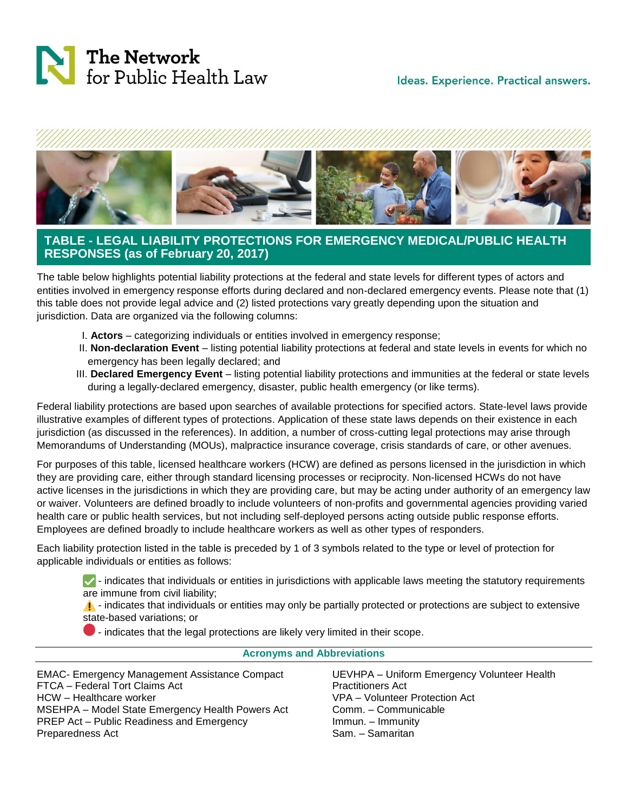## Ideas. Experience. Practical answers.





## **TABLE - LEGAL LIABILITY PROTECTIONS FOR EMERGENCY MEDICAL/PUBLIC HEALTH RESPONSES (as of February 20, 2017)**

The table below highlights potential liability protections at the federal and state levels for different types of actors and entities involved in emergency response efforts during declared and non-declared emergency events. Please note that (1) this table does not provide legal advice and (2) listed protections vary greatly depending upon the situation and jurisdiction. Data are organized via the following columns:

- I. **Actors** categorizing individuals or entities involved in emergency response;
- II. **Non-declaration Event** listing potential liability protections at federal and state levels in events for which no emergency has been legally declared; and
- III. **Declared Emergency Event** listing potential liability protections and immunities at the federal or state levels during a legally-declared emergency, disaster, public health emergency (or like terms).

Federal liability protections are based upon searches of available protections for specified actors. State-level laws provide illustrative examples of different types of protections. Application of these state laws depends on their existence in each jurisdiction (as discussed in the references). In addition, a number of cross-cutting legal protections may arise through Memorandums of Understanding (MOUs), malpractice insurance coverage, crisis standards of care, or other avenues.

For purposes of this table, licensed healthcare workers (HCW) are defined as persons licensed in the jurisdiction in which they are providing care, either through standard licensing processes or reciprocity. Non-licensed HCWs do not have active licenses in the jurisdictions in which they are providing care, but may be acting under authority of an emergency law or waiver. Volunteers are defined broadly to include volunteers of non-profits and governmental agencies providing varied health care or public health services, but not including self-deployed persons acting outside public response efforts. Employees are defined broadly to include healthcare workers as well as other types of responders.

Each liability protection listed in the table is preceded by 1 of 3 symbols related to the type or level of protection for applicable individuals or entities as follows:

 $\blacktriangledown$  - indicates that individuals or entities in jurisdictions with applicable laws meeting the statutory requirements are immune from civil liability;

 $\Lambda$  - indicates that individuals or entities may only be partially protected or protections are subject to extensive state-based variations; or

 $\bullet$  - indicates that the legal protections are likely very limited in their scope.

## **Acronyms and Abbreviations**

EMAC- Emergency Management Assistance Compact FTCA – Federal Tort Claims Act HCW – Healthcare worker MSEHPA – Model State Emergency Health Powers Act PREP Act – Public Readiness and Emergency Preparedness Act UEVHPA – Uniform Emergency Volunteer Health Practitioners Act VPA – Volunteer Protection Act Comm. – Communicable Immun. – Immunity Sam. – Samaritan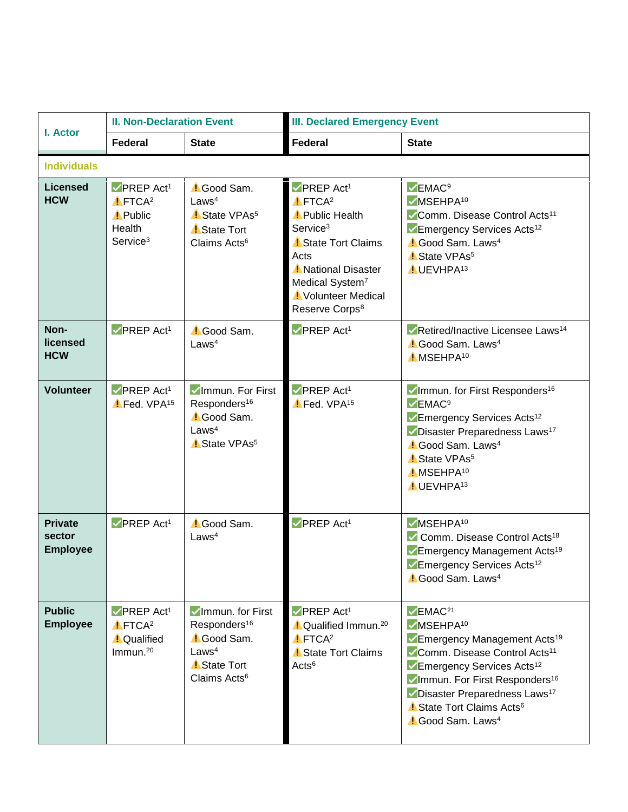<span id="page-1-16"></span><span id="page-1-15"></span><span id="page-1-14"></span><span id="page-1-13"></span><span id="page-1-12"></span><span id="page-1-11"></span><span id="page-1-10"></span><span id="page-1-9"></span><span id="page-1-8"></span><span id="page-1-7"></span><span id="page-1-6"></span><span id="page-1-5"></span><span id="page-1-4"></span><span id="page-1-3"></span><span id="page-1-2"></span><span id="page-1-1"></span><span id="page-1-0"></span>

| I. Actor                                    | <b>II. Non-Declaration Event</b>                                                                              |                                                                                                                                        | <b>III. Declared Emergency Event</b>                                                                                                                                                                                                                      |                                                                                                                                                                                                                                                                                                                                                           |  |  |
|---------------------------------------------|---------------------------------------------------------------------------------------------------------------|----------------------------------------------------------------------------------------------------------------------------------------|-----------------------------------------------------------------------------------------------------------------------------------------------------------------------------------------------------------------------------------------------------------|-----------------------------------------------------------------------------------------------------------------------------------------------------------------------------------------------------------------------------------------------------------------------------------------------------------------------------------------------------------|--|--|
|                                             | <b>Federal</b>                                                                                                | <b>State</b>                                                                                                                           | <b>Federal</b>                                                                                                                                                                                                                                            | <b>State</b>                                                                                                                                                                                                                                                                                                                                              |  |  |
| <b>Individuals</b>                          |                                                                                                               |                                                                                                                                        |                                                                                                                                                                                                                                                           |                                                                                                                                                                                                                                                                                                                                                           |  |  |
| <b>Licensed</b><br><b>HCW</b>               | $\nabla$ PREP Act <sup>1</sup><br>$I$ FTCA <sup>2</sup><br><b>Public</b><br>Health<br>Service <sup>3</sup>    | <b>Cood Sam.</b><br>Laws <sup>4</sup><br>State VPAs <sup>5</sup><br><b>State Tort</b><br>Claims Acts <sup>6</sup>                      | $\nabla$ PREP Act <sup>1</sup><br>$I$ FTCA <sup>2</sup><br><b>Public Health</b><br>Service <sup>3</sup><br><b>State Tort Claims</b><br>Acts<br><b>National Disaster</b><br>Medical System <sup>7</sup><br>Volunteer Medical<br>Reserve Corps <sup>8</sup> | $\vee$ EMAC <sup>9</sup><br>$\nu$ MSEHPA <sup>10</sup><br>Comm. Disease Control Acts <sup>11</sup><br>Emergency Services Acts <sup>12</sup><br><b>Cood Sam. Laws</b> <sup>4</sup><br>State VPAs <sup>5</sup><br><b>I</b> UEVHPA <sup>13</sup>                                                                                                             |  |  |
| Non-<br>licensed<br><b>HCW</b>              | $\nabla$ PREP Act <sup>1</sup>                                                                                | <b>Cood Sam.</b><br>Laws <sup>4</sup>                                                                                                  | $\nabla$ PREP Act <sup>1</sup>                                                                                                                                                                                                                            | Retired/Inactive Licensee Laws <sup>14</sup><br><sup>1</sup> Good Sam. Laws <sup>4</sup><br>MSEHPA <sup>10</sup>                                                                                                                                                                                                                                          |  |  |
| <b>Volunteer</b>                            | $\nabla$ PREP Act <sup>1</sup><br>Fed. VPA <sup>15</sup>                                                      | Immun. For First<br>Responders <sup>16</sup><br><b>Cood Sam.</b><br>Laws <sup>4</sup><br>State VPAs <sup>5</sup>                       | $\nabla$ PREP Act <sup>1</sup><br>Fed. VPA <sup>15</sup>                                                                                                                                                                                                  | Immun. for First Responders <sup>16</sup><br>$\vee$ EMAC <sup>9</sup><br>Emergency Services Acts <sup>12</sup><br>Disaster Preparedness Laws <sup>17</sup><br><b>Cood Sam. Laws</b> <sup>4</sup><br>State VPAs <sup>5</sup><br><b>MSEHPA10</b><br><b>I</b> UEVHPA <sup>13</sup>                                                                           |  |  |
| <b>Private</b><br>sector<br><b>Employee</b> | $\nabla$ PREP Act <sup>1</sup>                                                                                | Good Sam.<br>Laws <sup>4</sup>                                                                                                         | $\nabla$ PREP Act <sup>1</sup>                                                                                                                                                                                                                            | $\nu$ MSEHPA <sup>10</sup><br>Comm. Disease Control Acts <sup>18</sup><br>Emergency Management Acts <sup>19</sup><br>Emergency Services Acts <sup>12</sup><br><b>Cood Sam. Laws</b> <sup>4</sup>                                                                                                                                                          |  |  |
| <b>Public</b><br><b>Employee</b>            | $\nabla$ PREP Act <sup>1</sup><br>$\triangle$ FTCA <sup>2</sup><br><b>A</b> Qualified<br>Immun. <sup>20</sup> | Immun. for First<br>Responders <sup>16</sup><br><b>Cood Sam.</b><br>Laws <sup>4</sup><br><b>State Tort</b><br>Claims Acts <sup>6</sup> | $\nabla$ PREP Act <sup>1</sup><br><sup>1</sup> Qualified Immun. <sup>20</sup><br>$I$ FTCA <sup>2</sup><br>State Tort Claims<br>Acts <sup>6</sup>                                                                                                          | $\vee$ EMAC <sup>21</sup><br><b>VMSEHPA10</b><br>Emergency Management Acts <sup>19</sup><br>Comm. Disease Control Acts <sup>11</sup><br>Emergency Services Acts <sup>12</sup><br>Immun. For First Responders <sup>16</sup><br>Disaster Preparedness Laws <sup>17</sup><br><b>State Tort Claims Acts<sup>6</sup></b><br><b>Cood Sam. Laws</b> <sup>4</sup> |  |  |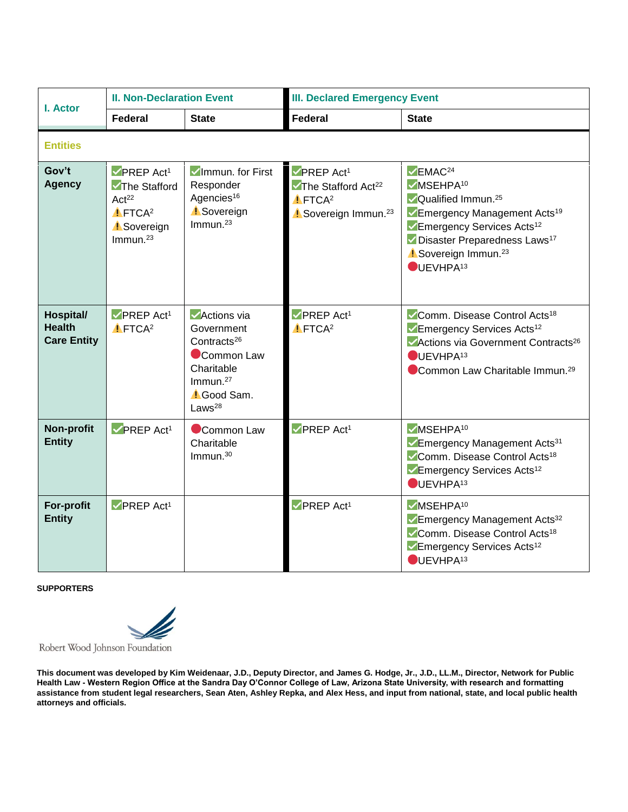<span id="page-2-1"></span><span id="page-2-0"></span>

| I. Actor                                         | <b>II. Non-Declaration Event</b>                                                                                                       |                                                                                                                                                                 | <b>III. Declared Emergency Event</b>                                                                                                           |                                                                                                                                                                                                                                                                                                        |  |  |  |
|--------------------------------------------------|----------------------------------------------------------------------------------------------------------------------------------------|-----------------------------------------------------------------------------------------------------------------------------------------------------------------|------------------------------------------------------------------------------------------------------------------------------------------------|--------------------------------------------------------------------------------------------------------------------------------------------------------------------------------------------------------------------------------------------------------------------------------------------------------|--|--|--|
|                                                  | Federal                                                                                                                                | <b>State</b>                                                                                                                                                    | <b>Federal</b>                                                                                                                                 | <b>State</b>                                                                                                                                                                                                                                                                                           |  |  |  |
| <b>Entities</b>                                  |                                                                                                                                        |                                                                                                                                                                 |                                                                                                                                                |                                                                                                                                                                                                                                                                                                        |  |  |  |
| Gov't<br><b>Agency</b>                           | $\nabla$ PREP Act <sup>1</sup><br><b>The Stafford</b><br>Act <sup>22</sup><br>$I$ FTCA <sup>2</sup><br><b>Sovereign</b><br>Immun. $23$ | VImmun. for First<br>Responder<br>Agencies <sup>16</sup><br><b>Sovereign</b><br>Immun. $23$                                                                     | $\nu$ PREP Act <sup>1</sup><br>$\blacktriangleright$ The Stafford Act <sup>22</sup><br>$I$ FTCA <sup>2</sup><br>Sovereign Immun. <sup>23</sup> | $\vee$ EMAC <sup>24</sup><br>$\nu$ MSEHPA <sup>10</sup><br><b>√Qualified Immun.</b> <sup>25</sup><br>Emergency Management Acts <sup>19</sup><br>Emergency Services Acts <sup>12</sup><br>Disaster Preparedness Laws <sup>17</sup><br>Sovereign Immun. <sup>23</sup><br>$\bigcirc$ UEVHPA <sup>13</sup> |  |  |  |
| Hospital/<br><b>Health</b><br><b>Care Entity</b> | $\nabla$ PREP Act <sup>1</sup><br>$I$ FTCA <sup>2</sup>                                                                                | $\blacktriangleright$ Actions via<br>Government<br>Contracts <sup>26</sup><br>Common Law<br>Charitable<br>Immun. $27$<br><b>Cood Sam.</b><br>Laws <sup>28</sup> | $\nabla$ PREP Act <sup>1</sup><br>$I$ FTCA <sup>2</sup>                                                                                        | Comm. Disease Control Acts <sup>18</sup><br>Emergency Services Acts <sup>12</sup><br>Actions via Government Contracts <sup>26</sup><br>$\bigcirc$ UEVHPA <sup>13</sup><br>Common Law Charitable Immun. <sup>29</sup>                                                                                   |  |  |  |
| Non-profit<br><b>Entity</b>                      | $\nabla$ PREP Act <sup>1</sup>                                                                                                         | Common Law<br>Charitable<br>Immun. $30$                                                                                                                         | $\nabla$ PREP Act <sup>1</sup>                                                                                                                 | $V$ MSEHPA <sup>10</sup><br>Emergency Management Acts <sup>31</sup><br>Comm. Disease Control Acts <sup>18</sup><br>Emergency Services Acts <sup>12</sup><br>$\bigcirc$ UEVHPA <sup>13</sup>                                                                                                            |  |  |  |
| For-profit<br><b>Entity</b>                      | $\nabla$ PREP Act <sup>1</sup>                                                                                                         |                                                                                                                                                                 | $\nabla$ PREP Act <sup>1</sup>                                                                                                                 | <b>VMSEHPA10</b><br>Emergency Management Acts <sup>32</sup><br>Comm. Disease Control Acts <sup>18</sup><br>Emergency Services Acts <sup>12</sup><br>$\bigcirc$ UEVHPA <sup>13</sup>                                                                                                                    |  |  |  |

## **SUPPORTERS**

<span id="page-2-2"></span>

Robert Wood Johnson Foundation

**This document was developed by Kim Weidenaar, J.D., Deputy Director, and James G. Hodge, Jr., J.D., LL.M., Director, Network for Public Health Law - Western Region Office at the Sandra Day O'Connor College of Law, Arizona State University, with research and formatting assistance from student legal researchers, Sean Aten, Ashley Repka, and Alex Hess, and input from national, state, and local public health attorneys and officials.**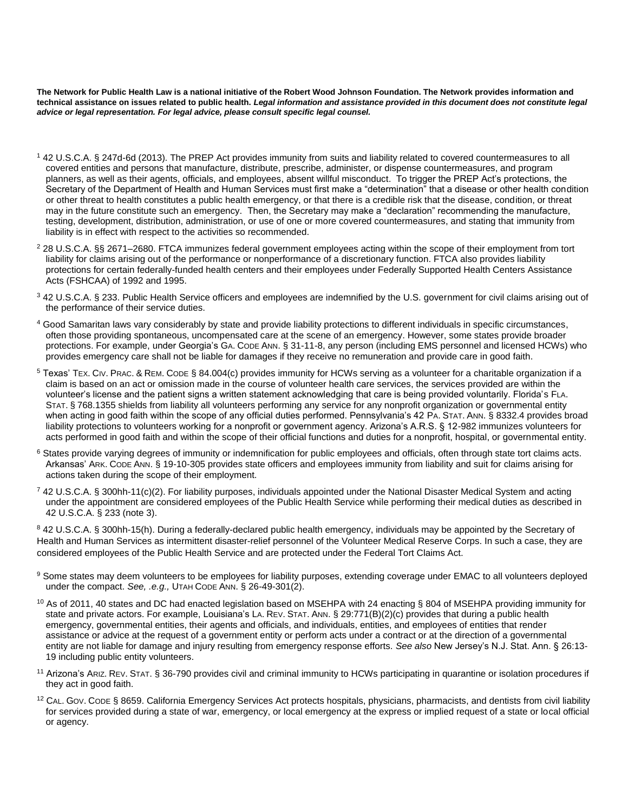**The Network for Public Health Law is a national initiative of the Robert Wood Johnson Foundation. The Network provides information and technical assistance on issues related to public health.** *Legal information and assistance provided in this document does not constitute legal advice or legal representation. For legal advice, please consult specific legal counsel.*

- <sup>1</sup> 42 U.S.C.A. § 247d-6d (2013). The PREP Act provides immunity from suits and liability related to covered countermeasures to all covered entities and persons that manufacture, distribute, prescribe, administer, or dispense countermeasures, and program planners, as well as their agents, officials, and employees, absent willful misconduct. To trigger the PREP Act's protections, the Secretary of the Department of Health and Human Services must first make a "determination" that a disease or other health condition or other threat to health constitutes a public health emergency, or that there is a credible risk that the disease, condition, or threat may in the future constitute such an emergency. Then, the Secretary may make a "declaration" recommending the manufacture, testing, development, distribution, administration, or use of one or more covered countermeasures, and stating that immunity from liability is in effect with respect to the activities so recommended.
- <sup>2</sup> 28 U.S.C.A. §§ 2671–2680. FTCA immunizes federal government employees acting within the scope of their employment from tort liability for claims arising out of the performance or nonperformance of a discretionary function. FTCA also provides liability protections for certain federally-funded health centers and their employees under Federally Supported Health Centers Assistance Acts (FSHCAA) of 1992 and 1995.
- <sup>3</sup> 42 U.S.C.A. § 233. Public Health Service officers and employees are indemnified by the U.S. government for civil claims arising out of the performance of their service duties.
- <sup>4</sup> Good Samaritan laws vary considerably by state and provide liability protections to different individuals in specific circumstances, often those providing spontaneous, uncompensated care at the scene of an emergency. However, some states provide broader protections. For example, under Georgia's GA. CODE ANN. § 31-11-8, any person (including EMS personnel and licensed HCWs) who provides emergency care shall not be liable for damages if they receive no remuneration and provide care in good faith.
- <sup>5</sup> Texas' TEX. CIV. PRAC. & REM. CODE § 84.004(c) provides immunity for HCWs serving as a volunteer for a charitable organization if a claim is based on an act or omission made in the course of volunteer health care services, the services provided are within the volunteer's license and the patient signs a written statement acknowledging that care is being provided voluntarily. Florida's FLA. STAT. § 768.1355 shields from liability all volunteers performing any service for any nonprofit organization or governmental entity when acting in good faith within the scope of any official duties performed. Pennsylvania's 42 PA. STAT. ANN. § 8332.4 provides broad liability protections to volunteers working for a nonprofit or government agency. Arizona's A.R.S. § 12-982 immunizes volunteers for acts performed in good faith and within the scope of their official functions and duties for a nonprofit, hospital, or governmental entity.
- <sup>6</sup> States provide varying degrees of immunity or indemnification for public employees and officials, often through state tort claims acts. Arkansas' ARK. CODE ANN. § 19-10-305 provides state officers and employees immunity from liability and suit for claims arising for actions taken during the scope of their employment.
- $7$  42 U.S.C.A. § 300hh-11(c)(2). For liability purposes, individuals appointed under the National Disaster Medical System and acting under the appointment are considered employees of the Public Health Service while performing their medical duties as described in 42 U.S.C.A. § 233 (note 3).

8 42 U.S.C.A. § 300hh-15(h). During a federally-declared public health emergency, individuals may be appointed by the Secretary of Health and Human Services as intermittent disaster-relief personnel of the Volunteer Medical Reserve Corps. In such a case, they are considered employees of the Public Health Service and are protected under the Federal Tort Claims Act.

- 9 Some states may deem volunteers to be employees for liability purposes, extending coverage under EMAC to all volunteers deployed under the compact. *See, .e.g.,* UTAH CODE ANN. § 26-49-301(2).
- $10$  As of 2011, 40 states and DC had enacted legislation based on MSEHPA with 24 enacting § 804 of MSEHPA providing immunity for state and private actors. For example, Louisiana's LA. REV. STAT. ANN. § 29:771(B)(2)(c) provides that during a public health emergency, governmental entities, their agents and officials, and individuals, entities, and employees of entities that render assistance or advice at the request of a government entity or perform acts under a contract or at the direction of a governmental entity are not liable for damage and injury resulting from emergency response efforts. *See also* New Jersey's N.J. Stat. Ann. § 26:13- 19 including public entity volunteers.
- <sup>11</sup> Arizona's ARIZ. REV. STAT. § 36-790 provides civil and criminal immunity to HCWs participating in quarantine or isolation procedures if they act in good faith.
- $12$  CAL. GOV. CODE § 8659. California Emergency Services Act protects hospitals, physicians, pharmacists, and dentists from civil liability for services provided during a state of war, emergency, or local emergency at the express or implied request of a state or local official or agency.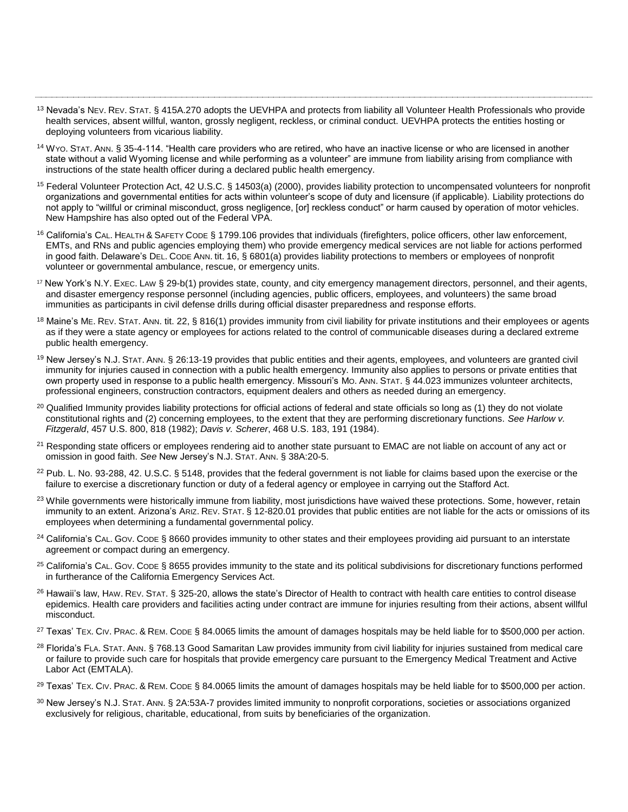<sup>13</sup> Nevada's NEV. REV. STAT. § 415A.270 adopts the UEVHPA and protects from liability all Volunteer Health Professionals who provide health services, absent willful, wanton, grossly negligent, reckless, or criminal conduct. UEVHPA protects the entities hosting or deploying volunteers from vicarious liability.

- <sup>14</sup> WYO. STAT. ANN. § 35-4-114. "Health care providers who are retired, who have an inactive license or who are licensed in another state without a valid Wyoming license and while performing as a volunteer" are immune from liability arising from compliance with instructions of the state health officer during a declared public health emergency.
- <sup>15</sup> Federal Volunteer Protection Act, 42 U.S.C. § 14503(a) (2000), provides liability protection to uncompensated volunteers for nonprofit organizations and governmental entities for acts within volunteer's scope of duty and licensure (if applicable). Liability protections do not apply to "willful or criminal misconduct, gross negligence, [or] reckless conduct" or harm caused by operation of motor vehicles. New Hampshire has also opted out of the Federal VPA.
- <sup>16</sup> California's CAL. HEALTH & SAFETY CODE § 1799.106 provides that individuals (firefighters, police officers, other law enforcement, EMTs, and RNs and public agencies employing them) who provide emergency medical services are not liable for actions performed in good faith. Delaware's DEL. CODE ANN. tit. 16, § 6801(a) provides liability protections to members or employees of nonprofit volunteer or governmental ambulance, rescue, or emergency units.
- <sup>17</sup> New York's N.Y. EXEC. LAW § 29-b(1) provides state, county, and city emergency management directors, personnel, and their agents, and disaster emergency response personnel (including agencies, public officers, employees, and volunteers) the same broad immunities as participants in civil defense drills during official disaster preparedness and response efforts.
- <sup>18</sup> Maine's ME. REV. STAT. ANN. tit. 22, § 816(1) provides immunity from civil liability for private institutions and their employees or agents as if they were a state agency or employees for actions related to the control of communicable diseases during a declared extreme public health emergency.
- <sup>19</sup> New Jersey's N.J. STAT. ANN. § 26:13-19 provides that public entities and their agents, employees, and volunteers are granted civil immunity for injuries caused in connection with a public health emergency. Immunity also applies to persons or private entities that own property used in response to a public health emergency. Missouri's MO. ANN. STAT. § 44.023 immunizes volunteer architects, professional engineers, construction contractors, equipment dealers and others as needed during an emergency.
- $20$  Qualified Immunity provides liability protections for official actions of federal and state officials so long as (1) they do not violate constitutional rights and (2) concerning employees, to the extent that they are performing discretionary functions. *See Harlow v. Fitzgerald*, 457 U.S. 800, 818 (1982); *Davis v. Scherer*, 468 U.S. 183, 191 (1984).
- <sup>21</sup> Responding state officers or employees rendering aid to another state pursuant to EMAC are not liable on account of any act or omission in good faith. *See* New Jersey's N.J. STAT. ANN. § 38A:20-5.
- $22$  Pub. L. No. 93-288, 42. U.S.C. § 5148, provides that the federal government is not liable for claims based upon the exercise or the failure to exercise a discretionary function or duty of a federal agency or employee in carrying out the Stafford Act.
- <sup>23</sup> While governments were historically immune from liability, most jurisdictions have waived these protections. Some, however, retain immunity to an extent. Arizona's ARIZ. REV. STAT. § 12-820.01 provides that public entities are not liable for the acts or omissions of its employees when determining a fundamental governmental policy.
- $24$  California's CAL. GOV. CODE § 8660 provides immunity to other states and their employees providing aid pursuant to an interstate agreement or compact during an emergency.
- <sup>25</sup> California's CAL. Gov. Code § 8655 provides immunity to the state and its political subdivisions for discretionary functions performed in furtherance of the California Emergency Services Act.
- <sup>26</sup> Hawaii's law, HAW. REV. STAT. § 325-20, allows the state's Director of Health to contract with health care entities to control disease epidemics. Health care providers and facilities acting under contract are immune for injuries resulting from their actions, absent willful misconduct.
- <sup>27</sup> Texas' TEX. CIV. PRAC. & REM. CODE § 84.0065 limits the amount of damages hospitals may be held liable for to \$500,000 per action.
- <sup>28</sup> Florida's FLA. STAT. ANN. § 768.13 Good Samaritan Law provides immunity from civil liability for injuries sustained from medical care or failure to provide such care for hospitals that provide emergency care pursuant to the Emergency Medical Treatment and Active Labor Act (EMTALA).

<sup>29</sup> Texas' TEX. CIV. PRAC. & REM. CODE § 84.0065 limits the amount of damages hospitals may be held liable for to \$500,000 per action.

30 New Jersey's N.J. STAT. ANN. § 2A:53A-7 provides limited immunity to nonprofit corporations, societies or associations organized exclusively for religious, charitable, educational, from suits by beneficiaries of the organization.